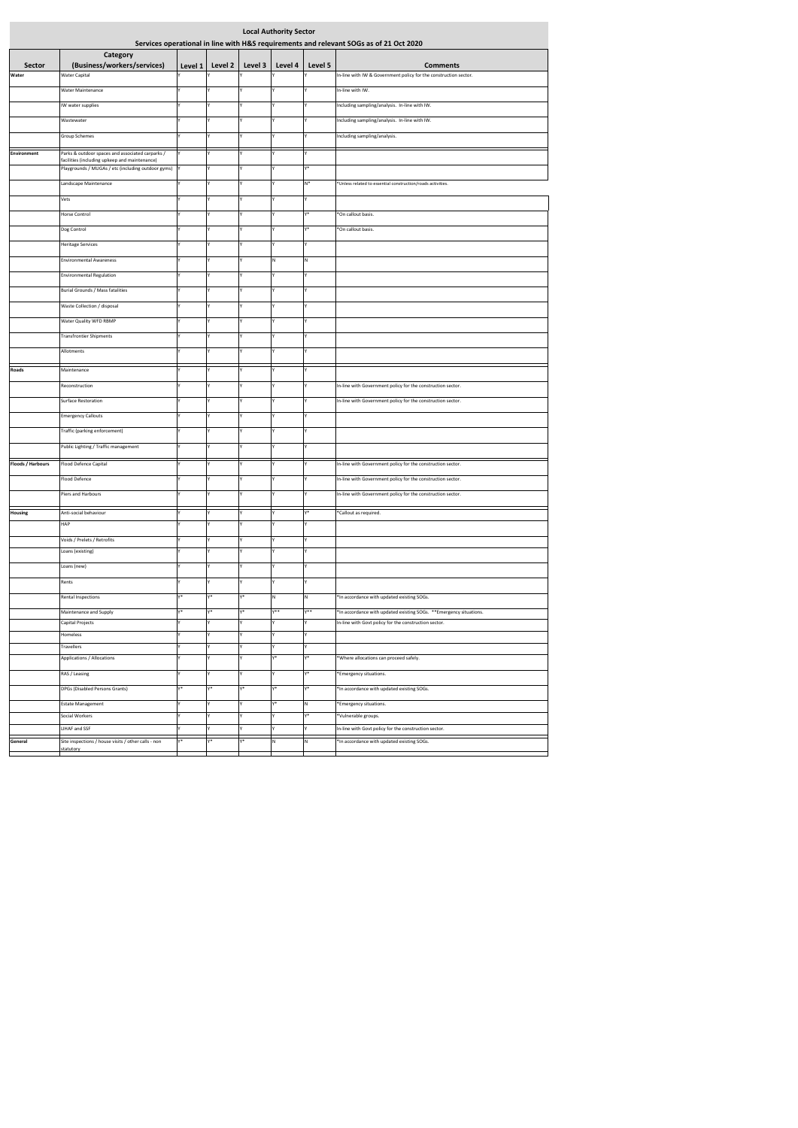| <b>Local Authority Sector</b>                                                          |                                                                                                   |         |         |         |         |         |                                                                     |  |  |  |  |
|----------------------------------------------------------------------------------------|---------------------------------------------------------------------------------------------------|---------|---------|---------|---------|---------|---------------------------------------------------------------------|--|--|--|--|
| Services operational in line with H&S requirements and relevant SOGs as of 21 Oct 2020 |                                                                                                   |         |         |         |         |         |                                                                     |  |  |  |  |
| <b>Sector</b>                                                                          | Category<br>(Business/workers/services)                                                           | Level 1 | Level 2 | Level 3 | Level 4 | Level 5 | <b>Comments</b>                                                     |  |  |  |  |
| Water                                                                                  | <b>Water Capital</b>                                                                              |         |         | Y       |         |         | In-line with IW & Government policy for the construction sector.    |  |  |  |  |
|                                                                                        | Water Maintenance                                                                                 |         | Υ       | Y       |         |         | In-line with IW.                                                    |  |  |  |  |
|                                                                                        | IW water supplies                                                                                 |         | Y       | Υ       |         |         | Including sampling/analysis. In-line with IW.                       |  |  |  |  |
|                                                                                        | Wastewater                                                                                        |         | Y       | Y       |         |         | Including sampling/analysis. In-line with IW.                       |  |  |  |  |
|                                                                                        | Group Schemes                                                                                     |         | Y       | Υ       |         |         | Including sampling/analysis.                                        |  |  |  |  |
|                                                                                        |                                                                                                   |         |         |         |         |         |                                                                     |  |  |  |  |
| <b>Environment</b>                                                                     | Parks & outdoor spaces and associated carparks /<br>facilities (including upkeep and maintenance) |         |         | Υ       |         |         |                                                                     |  |  |  |  |
|                                                                                        | Playgrounds / MUGAs / etc (including outdoor gyms) Y                                              |         | Y       | Υ       |         | Y*      |                                                                     |  |  |  |  |
|                                                                                        | Landscape Maintenance                                                                             |         | Y       | Y       |         | $N^*$   | *Unless related to essential construction/roads activities.         |  |  |  |  |
|                                                                                        | Vets                                                                                              |         |         | Y       |         |         |                                                                     |  |  |  |  |
|                                                                                        | Horse Control                                                                                     |         | Υ       | Y       |         | Y*      | *On callout basis.                                                  |  |  |  |  |
|                                                                                        | Dog Control                                                                                       |         | Y       | Υ       |         | Y*      | *On callout basis.                                                  |  |  |  |  |
|                                                                                        | <b>Heritage Services</b>                                                                          |         |         | Υ       |         |         |                                                                     |  |  |  |  |
|                                                                                        | <b>Environmental Awareness</b>                                                                    |         | Y       | I۷      | N       | N       |                                                                     |  |  |  |  |
|                                                                                        | <b>Environmental Regulation</b>                                                                   |         |         | Υ       |         |         |                                                                     |  |  |  |  |
|                                                                                        | Burial Grounds / Mass fatalities                                                                  |         | Y       | Υ       |         |         |                                                                     |  |  |  |  |
|                                                                                        | Waste Collection / disposal                                                                       |         | Y       | Y       |         |         |                                                                     |  |  |  |  |
|                                                                                        | Water Quality WFD RBMP                                                                            |         | Y       | Υ       |         |         |                                                                     |  |  |  |  |
|                                                                                        | <b>Transfrontier Shipments</b>                                                                    |         | Y       | Υ       |         |         |                                                                     |  |  |  |  |
|                                                                                        | Allotments                                                                                        |         | Υ       | Υ       |         | Υ       |                                                                     |  |  |  |  |
|                                                                                        |                                                                                                   |         |         |         |         |         |                                                                     |  |  |  |  |
| Roads                                                                                  | Maintenance                                                                                       |         | Y       | Υ       |         |         |                                                                     |  |  |  |  |
|                                                                                        | Reconstruction                                                                                    |         | Y       | Υ       |         |         | In-line with Government policy for the construction sector.         |  |  |  |  |
|                                                                                        | Surface Restoration                                                                               |         |         | Υ       |         |         | In-line with Government policy for the construction sector.         |  |  |  |  |
|                                                                                        | <b>Emergency Callouts</b>                                                                         |         | Y       | Y       |         | Υ       |                                                                     |  |  |  |  |
|                                                                                        | Traffic (parking enforcement)                                                                     |         | Υ       | Y       |         | Y       |                                                                     |  |  |  |  |
|                                                                                        | Public Lighting / Traffic management                                                              |         |         |         |         |         |                                                                     |  |  |  |  |
| Floods / Harbours                                                                      | Flood Defence Capital                                                                             |         |         |         |         |         | In-line with Government policy for the construction sector.         |  |  |  |  |
|                                                                                        | Flood Defence                                                                                     |         | Y       | Υ       |         |         | In-line with Government policy for the construction sector.         |  |  |  |  |
|                                                                                        |                                                                                                   |         |         |         |         |         |                                                                     |  |  |  |  |
|                                                                                        | Piers and Harbours                                                                                |         | Υ       | Y       |         |         | In-line with Government policy for the construction sector.         |  |  |  |  |
| Housing                                                                                | Anti-social behaviour                                                                             |         | Υ       | Y       | Y       | $Y^*$   | *Callout as required.                                               |  |  |  |  |
|                                                                                        | HAP                                                                                               |         | Y       | Υ       |         |         |                                                                     |  |  |  |  |
|                                                                                        | Voids / Prelets / Retrofits                                                                       |         | Υ       | Y       |         |         |                                                                     |  |  |  |  |
|                                                                                        | Loans (existing)                                                                                  |         | Y       | Y       |         |         |                                                                     |  |  |  |  |
|                                                                                        | Loans (new)                                                                                       |         | Y       | Y       | Y       | Υ       |                                                                     |  |  |  |  |
|                                                                                        | Rents                                                                                             |         | Y       | Y       | Y       | Y       |                                                                     |  |  |  |  |
|                                                                                        | Rental Inspections                                                                                | v*      | γ*      | Y*      | N       | N       | *In accordance with updated existing SOGs.                          |  |  |  |  |
|                                                                                        | Maintenance and Supply                                                                            | v*      | γ*      | $Y^*$   | $Y**$   | $Y^*$   | *In accordance with updated existing SOGs. ** Emergency situations. |  |  |  |  |
|                                                                                        | Capital Projects<br>Homeless                                                                      |         | Y       | Y<br>Υ  |         |         | In-line with Govt policy for the construction sector.               |  |  |  |  |
|                                                                                        | Travellers                                                                                        |         | Υ       | Υ       | Y       | Y       |                                                                     |  |  |  |  |
|                                                                                        | Applications / Allocations                                                                        |         | Υ       | Υ       | $Y^*$   | $Y^*$   | *Where allocations can proceed safely.                              |  |  |  |  |
|                                                                                        | RAS / Leasing                                                                                     |         |         | Υ       |         | γ*      | *Emergency situations.                                              |  |  |  |  |
|                                                                                        | DPGs (Disabled Persons Grants)                                                                    | $v*$    | γ*      | $Y^*$   | γ*      | Y*      | *In accordance with updated existing SOGs.                          |  |  |  |  |
|                                                                                        | <b>Estate Management</b>                                                                          |         | Υ       | Y       | Y*      | N       | *Emergency situations.                                              |  |  |  |  |
|                                                                                        | Social Workers                                                                                    |         | Υ       | Y       |         | γ*      | *Vulnerable groups.                                                 |  |  |  |  |
|                                                                                        | LIHAF and SSF                                                                                     |         | Y       | Υ       |         |         | In-line with Govt policy for the construction sector.               |  |  |  |  |
| General                                                                                | Site inspections / house visits / other calls - non                                               | v*      | y*      | Y*      | N       | N       | *In accordance with updated existing SOGs.                          |  |  |  |  |
|                                                                                        | statutory                                                                                         |         |         |         |         |         |                                                                     |  |  |  |  |